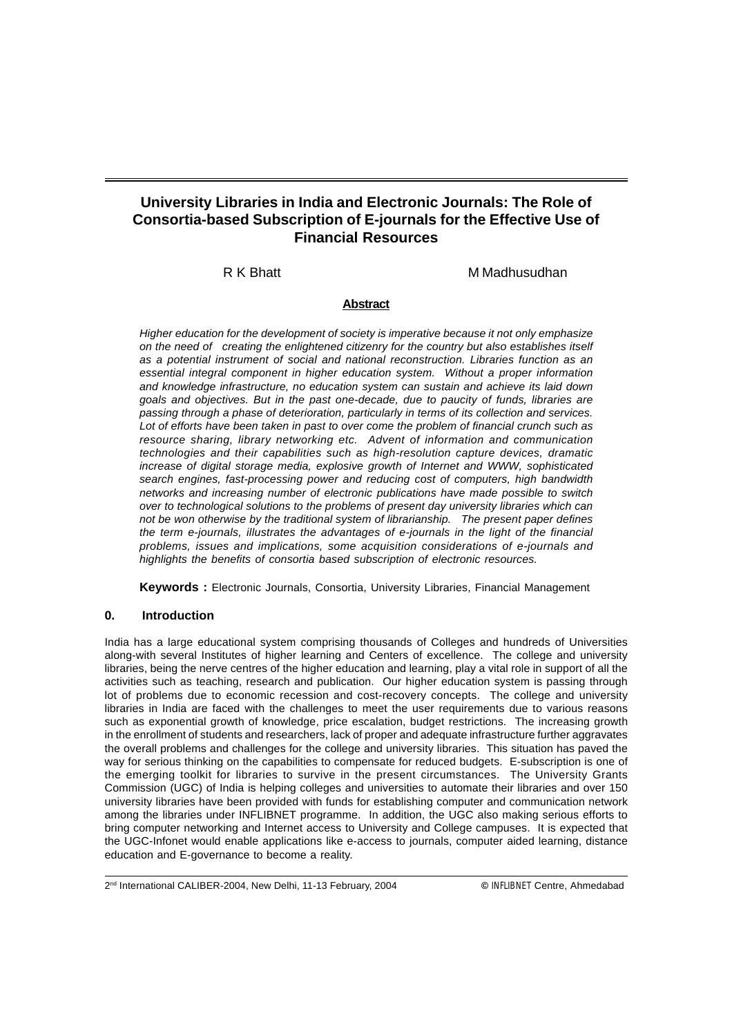# **University Libraries in India and Electronic Journals: The Role of Consortia-based Subscription of E-journals for the Effective Use of Financial Resources**

R K Bhatt M M Madhusudhan

### **Abstract**

Higher education for the development of society is imperative because it not only emphasize on the need of creating the enlightened citizenry for the country but also establishes itself as a potential instrument of social and national reconstruction. Libraries function as an essential integral component in higher education system. Without a proper information and knowledge infrastructure, no education system can sustain and achieve its laid down goals and objectives. But in the past one-decade, due to paucity of funds, libraries are passing through a phase of deterioration, particularly in terms of its collection and services. Lot of efforts have been taken in past to over come the problem of financial crunch such as resource sharing, library networking etc. Advent of information and communication technologies and their capabilities such as high-resolution capture devices, dramatic increase of digital storage media, explosive growth of Internet and WWW, sophisticated search engines, fast-processing power and reducing cost of computers, high bandwidth networks and increasing number of electronic publications have made possible to switch over to technological solutions to the problems of present day university libraries which can not be won otherwise by the traditional system of librarianship. The present paper defines the term e-journals, illustrates the advantages of e-journals in the light of the financial problems, issues and implications, some acquisition considerations of e-journals and highlights the benefits of consortia based subscription of electronic resources.

**Keywords :** Electronic Journals, Consortia, University Libraries, Financial Management

# **0. Introduction**

India has a large educational system comprising thousands of Colleges and hundreds of Universities along-with several Institutes of higher learning and Centers of excellence. The college and university libraries, being the nerve centres of the higher education and learning, play a vital role in support of all the activities such as teaching, research and publication. Our higher education system is passing through lot of problems due to economic recession and cost-recovery concepts. The college and university libraries in India are faced with the challenges to meet the user requirements due to various reasons such as exponential growth of knowledge, price escalation, budget restrictions. The increasing growth in the enrollment of students and researchers, lack of proper and adequate infrastructure further aggravates the overall problems and challenges for the college and university libraries. This situation has paved the way for serious thinking on the capabilities to compensate for reduced budgets. E-subscription is one of the emerging toolkit for libraries to survive in the present circumstances. The University Grants Commission (UGC) of India is helping colleges and universities to automate their libraries and over 150 university libraries have been provided with funds for establishing computer and communication network among the libraries under INFLIBNET programme. In addition, the UGC also making serious efforts to bring computer networking and Internet access to University and College campuses. It is expected that the UGC-Infonet would enable applications like e-access to journals, computer aided learning, distance education and E-governance to become a reality.

2nd International CALIBER-2004, New Delhi, 11-13 February, 2004 **©** INFLIBNET Centre, Ahmedabad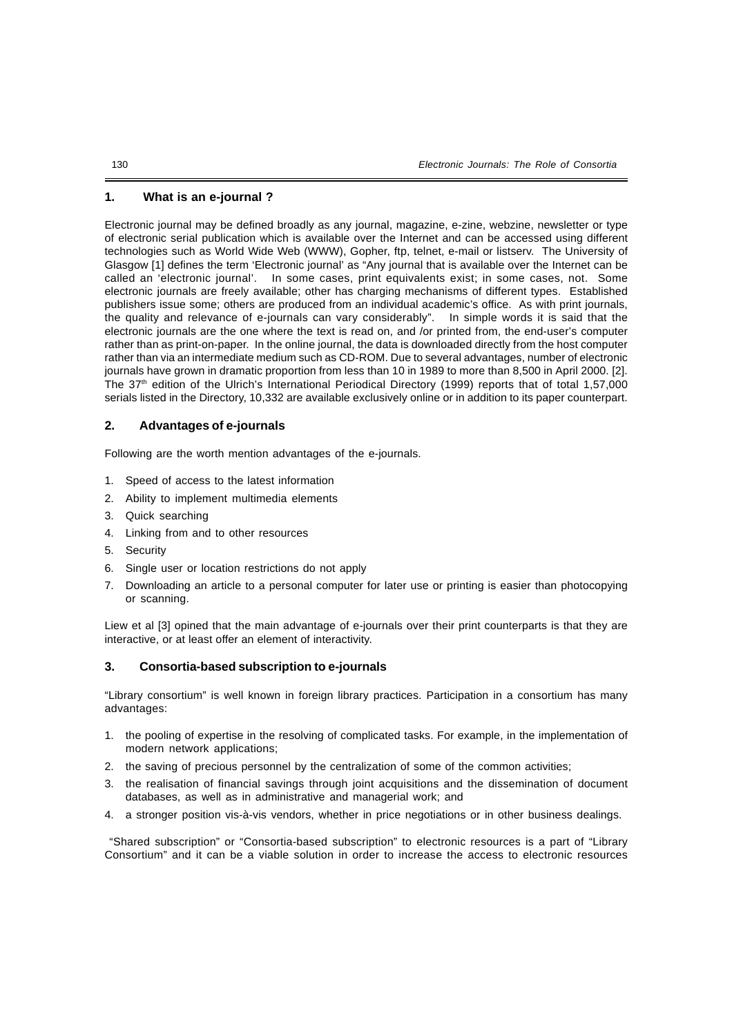## **1. What is an e-journal ?**

Electronic journal may be defined broadly as any journal, magazine, e-zine, webzine, newsletter or type of electronic serial publication which is available over the Internet and can be accessed using different technologies such as World Wide Web (WWW), Gopher, ftp, telnet, e-mail or listserv. The University of Glasgow [1] defines the term 'Electronic journal' as "Any journal that is available over the Internet can be called an 'electronic journal'. In some cases, print equivalents exist; in some cases, not. Some electronic journals are freely available; other has charging mechanisms of different types. Established publishers issue some; others are produced from an individual academic's office. As with print journals, the quality and relevance of e-journals can vary considerably". In simple words it is said that the electronic journals are the one where the text is read on, and /or printed from, the end-user's computer rather than as print-on-paper. In the online journal, the data is downloaded directly from the host computer rather than via an intermediate medium such as CD-ROM. Due to several advantages, number of electronic journals have grown in dramatic proportion from less than 10 in 1989 to more than 8,500 in April 2000. [2]. The 37th edition of the Ulrich's International Periodical Directory (1999) reports that of total 1,57,000 serials listed in the Directory, 10,332 are available exclusively online or in addition to its paper counterpart.

#### **2. Advantages of e-journals**

Following are the worth mention advantages of the e-journals.

- 1. Speed of access to the latest information
- 2. Ability to implement multimedia elements
- 3. Quick searching
- 4. Linking from and to other resources
- 5. Security
- 6. Single user or location restrictions do not apply
- 7. Downloading an article to a personal computer for later use or printing is easier than photocopying or scanning.

Liew et al [3] opined that the main advantage of e-journals over their print counterparts is that they are interactive, or at least offer an element of interactivity.

### **3. Consortia-based subscription to e-journals**

"Library consortium" is well known in foreign library practices. Participation in a consortium has many advantages:

- 1. the pooling of expertise in the resolving of complicated tasks. For example, in the implementation of modern network applications;
- 2. the saving of precious personnel by the centralization of some of the common activities;
- 3. the realisation of financial savings through joint acquisitions and the dissemination of document databases, as well as in administrative and managerial work; and
- 4. a stronger position vis-à-vis vendors, whether in price negotiations or in other business dealings.

"Shared subscription" or "Consortia-based subscription" to electronic resources is a part of "Library Consortium" and it can be a viable solution in order to increase the access to electronic resources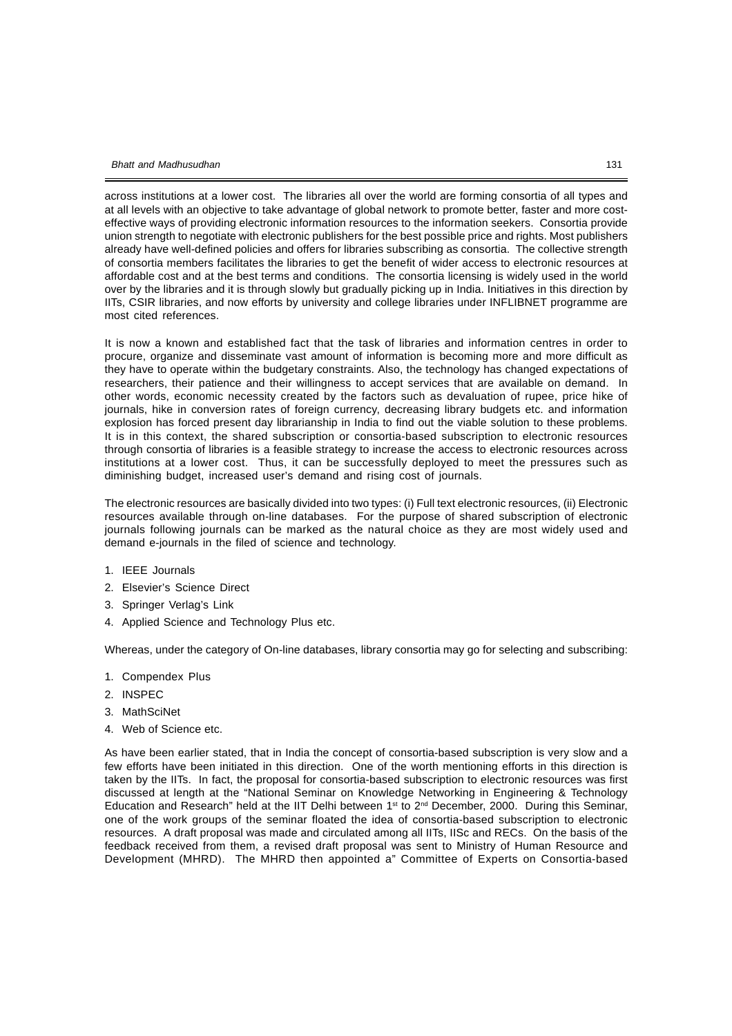across institutions at a lower cost. The libraries all over the world are forming consortia of all types and at all levels with an objective to take advantage of global network to promote better, faster and more costeffective ways of providing electronic information resources to the information seekers. Consortia provide union strength to negotiate with electronic publishers for the best possible price and rights. Most publishers already have well-defined policies and offers for libraries subscribing as consortia. The collective strength of consortia members facilitates the libraries to get the benefit of wider access to electronic resources at affordable cost and at the best terms and conditions. The consortia licensing is widely used in the world over by the libraries and it is through slowly but gradually picking up in India. Initiatives in this direction by IITs, CSIR libraries, and now efforts by university and college libraries under INFLIBNET programme are most cited references.

It is now a known and established fact that the task of libraries and information centres in order to procure, organize and disseminate vast amount of information is becoming more and more difficult as they have to operate within the budgetary constraints. Also, the technology has changed expectations of researchers, their patience and their willingness to accept services that are available on demand. In other words, economic necessity created by the factors such as devaluation of rupee, price hike of journals, hike in conversion rates of foreign currency, decreasing library budgets etc. and information explosion has forced present day librarianship in India to find out the viable solution to these problems. It is in this context, the shared subscription or consortia-based subscription to electronic resources through consortia of libraries is a feasible strategy to increase the access to electronic resources across institutions at a lower cost. Thus, it can be successfully deployed to meet the pressures such as diminishing budget, increased user's demand and rising cost of journals.

The electronic resources are basically divided into two types: (i) Full text electronic resources, (ii) Electronic resources available through on-line databases. For the purpose of shared subscription of electronic journals following journals can be marked as the natural choice as they are most widely used and demand e-journals in the filed of science and technology.

- 1. IEEE Journals
- 2. Elsevier's Science Direct
- 3. Springer Verlag's Link
- 4. Applied Science and Technology Plus etc.

Whereas, under the category of On-line databases, library consortia may go for selecting and subscribing:

- 1. Compendex Plus
- 2. INSPEC
- 3. MathSciNet
- 4. Web of Science etc.

As have been earlier stated, that in India the concept of consortia-based subscription is very slow and a few efforts have been initiated in this direction. One of the worth mentioning efforts in this direction is taken by the IITs. In fact, the proposal for consortia-based subscription to electronic resources was first discussed at length at the "National Seminar on Knowledge Networking in Engineering & Technology Education and Research" held at the IIT Delhi between 1<sup>st</sup> to 2<sup>nd</sup> December, 2000. During this Seminar, one of the work groups of the seminar floated the idea of consortia-based subscription to electronic resources. A draft proposal was made and circulated among all IITs, IISc and RECs. On the basis of the feedback received from them, a revised draft proposal was sent to Ministry of Human Resource and Development (MHRD). The MHRD then appointed a" Committee of Experts on Consortia-based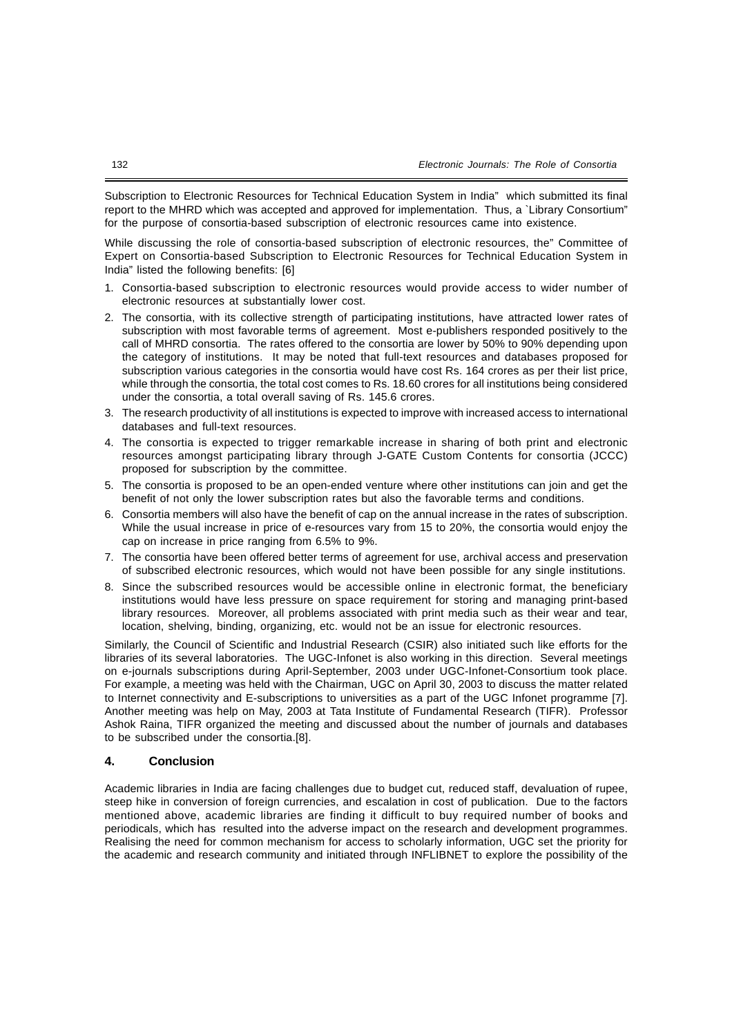Subscription to Electronic Resources for Technical Education System in India" which submitted its final report to the MHRD which was accepted and approved for implementation. Thus, a `Library Consortium" for the purpose of consortia-based subscription of electronic resources came into existence.

While discussing the role of consortia-based subscription of electronic resources, the" Committee of Expert on Consortia-based Subscription to Electronic Resources for Technical Education System in India" listed the following benefits: [6]

- 1. Consortia-based subscription to electronic resources would provide access to wider number of electronic resources at substantially lower cost.
- 2. The consortia, with its collective strength of participating institutions, have attracted lower rates of subscription with most favorable terms of agreement. Most e-publishers responded positively to the call of MHRD consortia. The rates offered to the consortia are lower by 50% to 90% depending upon the category of institutions. It may be noted that full-text resources and databases proposed for subscription various categories in the consortia would have cost Rs. 164 crores as per their list price, while through the consortia, the total cost comes to Rs. 18.60 crores for all institutions being considered under the consortia, a total overall saving of Rs. 145.6 crores.
- 3. The research productivity of all institutions is expected to improve with increased access to international databases and full-text resources.
- 4. The consortia is expected to trigger remarkable increase in sharing of both print and electronic resources amongst participating library through J-GATE Custom Contents for consortia (JCCC) proposed for subscription by the committee.
- 5. The consortia is proposed to be an open-ended venture where other institutions can join and get the benefit of not only the lower subscription rates but also the favorable terms and conditions.
- 6. Consortia members will also have the benefit of cap on the annual increase in the rates of subscription. While the usual increase in price of e-resources vary from 15 to 20%, the consortia would enjoy the cap on increase in price ranging from 6.5% to 9%.
- 7. The consortia have been offered better terms of agreement for use, archival access and preservation of subscribed electronic resources, which would not have been possible for any single institutions.
- 8. Since the subscribed resources would be accessible online in electronic format, the beneficiary institutions would have less pressure on space requirement for storing and managing print-based library resources. Moreover, all problems associated with print media such as their wear and tear, location, shelving, binding, organizing, etc. would not be an issue for electronic resources.

Similarly, the Council of Scientific and Industrial Research (CSIR) also initiated such like efforts for the libraries of its several laboratories. The UGC-Infonet is also working in this direction. Several meetings on e-journals subscriptions during April-September, 2003 under UGC-Infonet-Consortium took place. For example, a meeting was held with the Chairman, UGC on April 30, 2003 to discuss the matter related to Internet connectivity and E-subscriptions to universities as a part of the UGC Infonet programme [7]. Another meeting was help on May, 2003 at Tata Institute of Fundamental Research (TIFR). Professor Ashok Raina, TIFR organized the meeting and discussed about the number of journals and databases to be subscribed under the consortia.[8].

### **4. Conclusion**

Academic libraries in India are facing challenges due to budget cut, reduced staff, devaluation of rupee, steep hike in conversion of foreign currencies, and escalation in cost of publication. Due to the factors mentioned above, academic libraries are finding it difficult to buy required number of books and periodicals, which has resulted into the adverse impact on the research and development programmes. Realising the need for common mechanism for access to scholarly information, UGC set the priority for the academic and research community and initiated through INFLIBNET to explore the possibility of the